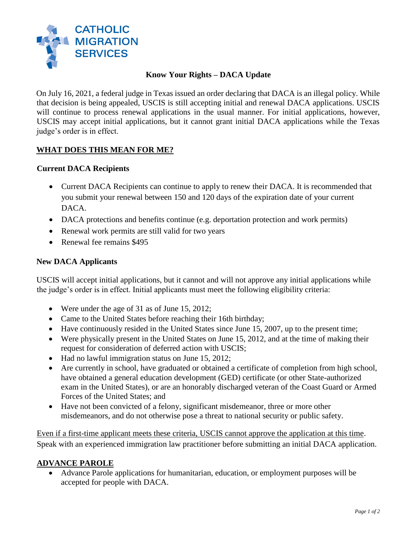

## **Know Your Rights – DACA Update**

On July 16, 2021, a federal judge in Texas issued an order declaring that DACA is an illegal policy. While that decision is being appealed, USCIS is still accepting initial and renewal DACA applications. USCIS will continue to process renewal applications in the usual manner. For initial applications, however, USCIS may accept initial applications, but it cannot grant initial DACA applications while the Texas judge's order is in effect.

## **WHAT DOES THIS MEAN FOR ME?**

### **Current DACA Recipients**

- Current DACA Recipients can continue to apply to renew their DACA. It is recommended that you submit your renewal between 150 and 120 days of the expiration date of your current DACA.
- DACA protections and benefits continue (e.g. deportation protection and work permits)
- Renewal work permits are still valid for two years
- Renewal fee remains \$495

#### **New DACA Applicants**

USCIS will accept initial applications, but it cannot and will not approve any initial applications while the judge's order is in effect. Initial applicants must meet the following eligibility criteria:

- Were under the age of 31 as of June 15, 2012;
- Came to the United States before reaching their 16th birthday;
- Have continuously resided in the United States since June 15, 2007, up to the present time;
- Were physically present in the United States on June 15, 2012, and at the time of making their request for consideration of deferred action with USCIS;
- Had no lawful immigration status on June 15, 2012;
- Are currently in school, have graduated or obtained a certificate of completion from high school, have obtained a general education development (GED) certificate (or other State-authorized exam in the United States), or are an honorably discharged veteran of the Coast Guard or Armed Forces of the United States; and
- Have not been convicted of a felony, significant misdemeanor, three or more other misdemeanors, and do not otherwise pose a threat to national security or public safety.

Even if a first-time applicant meets these criteria, USCIS cannot approve the application at this time. Speak with an experienced immigration law practitioner before submitting an initial DACA application.

#### **ADVANCE PAROLE**

 Advance Parole applications for humanitarian, education, or employment purposes will be accepted for people with DACA.